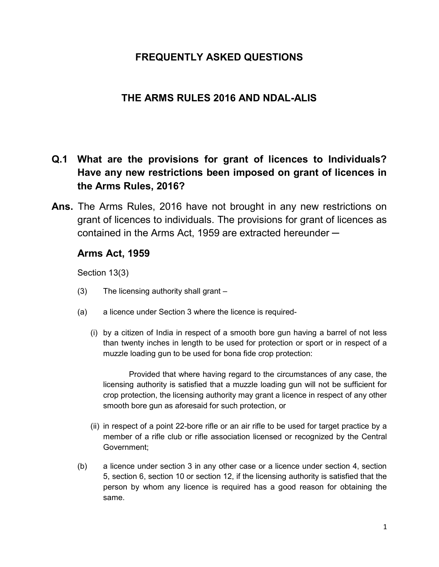### FREQUENTLY ASKED QUESTIONS

### THE ARMS RULES 2016 AND NDAL-ALIS

# Q.1 What are the provisions for grant of licences to Individuals? Have any new restrictions been imposed on grant of licences in the Arms Rules, 2016?

Ans. The Arms Rules, 2016 have not brought in any new restrictions on grant of licences to individuals. The provisions for grant of licences as contained in the Arms Act, 1959 are extracted hereunder  $-$ 

#### Arms Act, 1959

Section 13(3)

- (3) The licensing authority shall grant –
- (a) a licence under Section 3 where the licence is required-
	- (i) by a citizen of India in respect of a smooth bore gun having a barrel of not less than twenty inches in length to be used for protection or sport or in respect of a muzzle loading gun to be used for bona fide crop protection:

Provided that where having regard to the circumstances of any case, the licensing authority is satisfied that a muzzle loading gun will not be sufficient for crop protection, the licensing authority may grant a licence in respect of any other smooth bore gun as aforesaid for such protection, or

- (ii) in respect of a point 22-bore rifle or an air rifle to be used for target practice by a member of a rifle club or rifle association licensed or recognized by the Central Government;
- (b) a licence under section 3 in any other case or a licence under section 4, section 5, section 6, section 10 or section 12, if the licensing authority is satisfied that the person by whom any licence is required has a good reason for obtaining the same.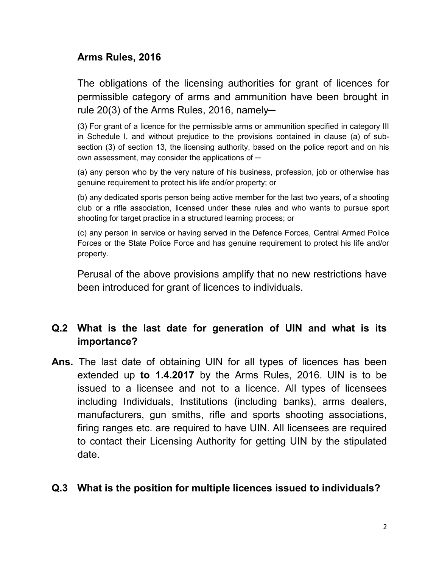### Arms Rules, 2016

The obligations of the licensing authorities for grant of licences for permissible category of arms and ammunition have been brought in rule  $20(3)$  of the Arms Rules, 2016, namely-

(3) For grant of a licence for the permissible arms or ammunition specified in category III in Schedule I, and without prejudice to the provisions contained in clause (a) of subsection (3) of section 13, the licensing authority, based on the police report and on his own assessment, may consider the applications of  $-$ 

(a) any person who by the very nature of his business, profession, job or otherwise has genuine requirement to protect his life and/or property; or

(b) any dedicated sports person being active member for the last two years, of a shooting club or a rifle association, licensed under these rules and who wants to pursue sport shooting for target practice in a structured learning process; or

(c) any person in service or having served in the Defence Forces, Central Armed Police Forces or the State Police Force and has genuine requirement to protect his life and/or property.

Perusal of the above provisions amplify that no new restrictions have been introduced for grant of licences to individuals.

## Q.2 What is the last date for generation of UIN and what is its importance?

Ans. The last date of obtaining UIN for all types of licences has been extended up to 1.4.2017 by the Arms Rules, 2016. UIN is to be issued to a licensee and not to a licence. All types of licensees including Individuals, Institutions (including banks), arms dealers, manufacturers, gun smiths, rifle and sports shooting associations, firing ranges etc. are required to have UIN. All licensees are required to contact their Licensing Authority for getting UIN by the stipulated date.

#### Q.3 What is the position for multiple licences issued to individuals?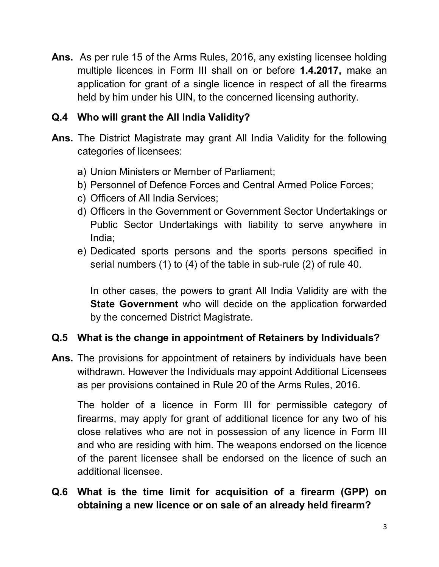Ans. As per rule 15 of the Arms Rules, 2016, any existing licensee holding multiple licences in Form III shall on or before 1.4.2017, make an application for grant of a single licence in respect of all the firearms held by him under his UIN, to the concerned licensing authority.

## Q.4 Who will grant the All India Validity?

- Ans. The District Magistrate may grant All India Validity for the following categories of licensees:
	- a) Union Ministers or Member of Parliament;
	- b) Personnel of Defence Forces and Central Armed Police Forces;
	- c) Officers of All India Services;
	- d) Officers in the Government or Government Sector Undertakings or Public Sector Undertakings with liability to serve anywhere in India;
	- e) Dedicated sports persons and the sports persons specified in serial numbers (1) to (4) of the table in sub-rule (2) of rule 40.

In other cases, the powers to grant All India Validity are with the **State Government** who will decide on the application forwarded by the concerned District Magistrate.

## Q.5 What is the change in appointment of Retainers by Individuals?

Ans. The provisions for appointment of retainers by individuals have been withdrawn. However the Individuals may appoint Additional Licensees as per provisions contained in Rule 20 of the Arms Rules, 2016.

The holder of a licence in Form III for permissible category of firearms, may apply for grant of additional licence for any two of his close relatives who are not in possession of any licence in Form III and who are residing with him. The weapons endorsed on the licence of the parent licensee shall be endorsed on the licence of such an additional licensee.

Q.6 What is the time limit for acquisition of a firearm (GPP) on obtaining a new licence or on sale of an already held firearm?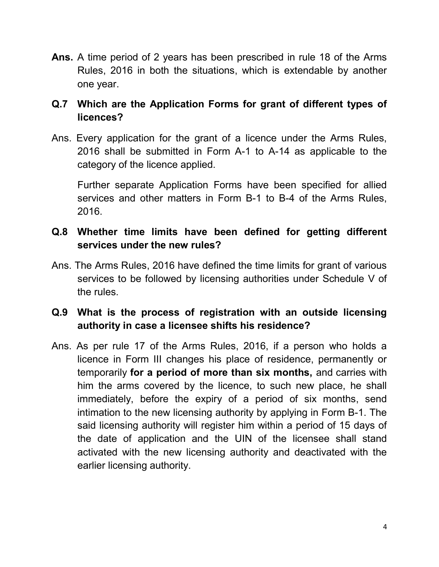Ans. A time period of 2 years has been prescribed in rule 18 of the Arms Rules, 2016 in both the situations, which is extendable by another one year.

## Q.7 Which are the Application Forms for grant of different types of licences?

Ans. Every application for the grant of a licence under the Arms Rules, 2016 shall be submitted in Form A-1 to A-14 as applicable to the category of the licence applied.

 Further separate Application Forms have been specified for allied services and other matters in Form B-1 to B-4 of the Arms Rules, 2016.

## Q.8 Whether time limits have been defined for getting different services under the new rules?

Ans. The Arms Rules, 2016 have defined the time limits for grant of various services to be followed by licensing authorities under Schedule V of the rules.

# Q.9 What is the process of registration with an outside licensing authority in case a licensee shifts his residence?

Ans. As per rule 17 of the Arms Rules, 2016, if a person who holds a licence in Form III changes his place of residence, permanently or temporarily for a period of more than six months, and carries with him the arms covered by the licence, to such new place, he shall immediately, before the expiry of a period of six months, send intimation to the new licensing authority by applying in Form B-1. The said licensing authority will register him within a period of 15 days of the date of application and the UIN of the licensee shall stand activated with the new licensing authority and deactivated with the earlier licensing authority.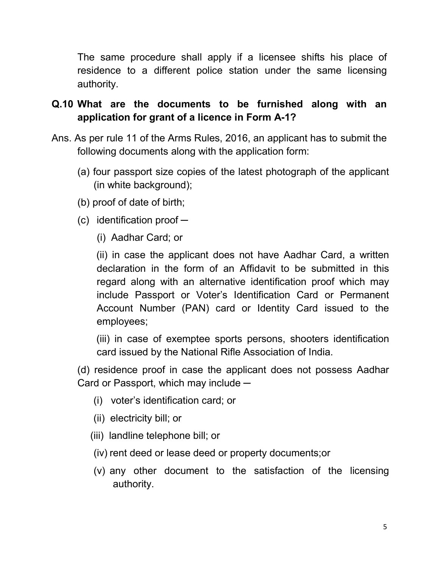The same procedure shall apply if a licensee shifts his place of residence to a different police station under the same licensing authority.

# Q.10 What are the documents to be furnished along with an application for grant of a licence in Form A-1?

- Ans. As per rule 11 of the Arms Rules, 2016, an applicant has to submit the following documents along with the application form:
	- (a) four passport size copies of the latest photograph of the applicant (in white background);
	- (b) proof of date of birth;
	- $(c)$  identification proof  $-$ 
		- (i) Aadhar Card; or

 (ii) in case the applicant does not have Aadhar Card, a written declaration in the form of an Affidavit to be submitted in this regard along with an alternative identification proof which may include Passport or Voter's Identification Card or Permanent Account Number (PAN) card or Identity Card issued to the employees;

 (iii) in case of exemptee sports persons, shooters identification card issued by the National Rifle Association of India.

 (d) residence proof in case the applicant does not possess Aadhar Card or Passport, which may include ─

- (i) voter's identification card; or
- (ii) electricity bill; or
- (iii) landline telephone bill; or
- (iv) rent deed or lease deed or property documents;or
- (v) any other document to the satisfaction of the licensing authority.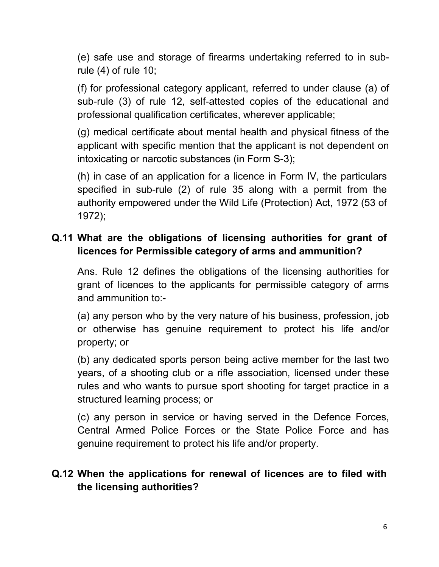(e) safe use and storage of firearms undertaking referred to in subrule (4) of rule 10;

 (f) for professional category applicant, referred to under clause (a) of sub-rule (3) of rule 12, self-attested copies of the educational and professional qualification certificates, wherever applicable;

 (g) medical certificate about mental health and physical fitness of the applicant with specific mention that the applicant is not dependent on intoxicating or narcotic substances (in Form S-3);

 (h) in case of an application for a licence in Form IV, the particulars specified in sub-rule (2) of rule 35 along with a permit from the authority empowered under the Wild Life (Protection) Act, 1972 (53 of 1972);

# Q.11 What are the obligations of licensing authorities for grant of licences for Permissible category of arms and ammunition?

Ans. Rule 12 defines the obligations of the licensing authorities for grant of licences to the applicants for permissible category of arms and ammunition to:-

(a) any person who by the very nature of his business, profession, job or otherwise has genuine requirement to protect his life and/or property; or

(b) any dedicated sports person being active member for the last two years, of a shooting club or a rifle association, licensed under these rules and who wants to pursue sport shooting for target practice in a structured learning process; or

(c) any person in service or having served in the Defence Forces, Central Armed Police Forces or the State Police Force and has genuine requirement to protect his life and/or property.

## Q.12 When the applications for renewal of licences are to filed with the licensing authorities?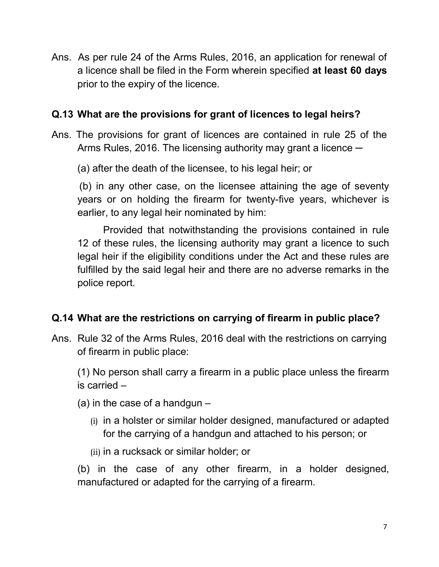Ans. As per rule 24 of the Arms Rules, 2016, an application for renewal of a licence shall be filed in the Form wherein specified at least 60 days prior to the expiry of the licence.

### Q.13 What are the provisions for grant of licences to legal heirs?

Ans. The provisions for grant of licences are contained in rule 25 of the Arms Rules, 2016. The licensing authority may grant a licence  $-$ 

(a) after the death of the licensee, to his legal heir; or

 (b) in any other case, on the licensee attaining the age of seventy years or on holding the firearm for twenty-five years, whichever is earlier, to any legal heir nominated by him:

Provided that notwithstanding the provisions contained in rule 12 of these rules, the licensing authority may grant a licence to such legal heir if the eligibility conditions under the Act and these rules are fulfilled by the said legal heir and there are no adverse remarks in the police report.

## Q.14 What are the restrictions on carrying of firearm in public place?

Ans. Rule 32 of the Arms Rules, 2016 deal with the restrictions on carrying of firearm in public place:

(1) No person shall carry a firearm in a public place unless the firearm is carried –

- (a) in the case of a handgun  $-$ 
	- (i) in a holster or similar holder designed, manufactured or adapted for the carrying of a handgun and attached to his person; or
	- (ii) in a rucksack or similar holder; or

 (b) in the case of any other firearm, in a holder designed, manufactured or adapted for the carrying of a firearm.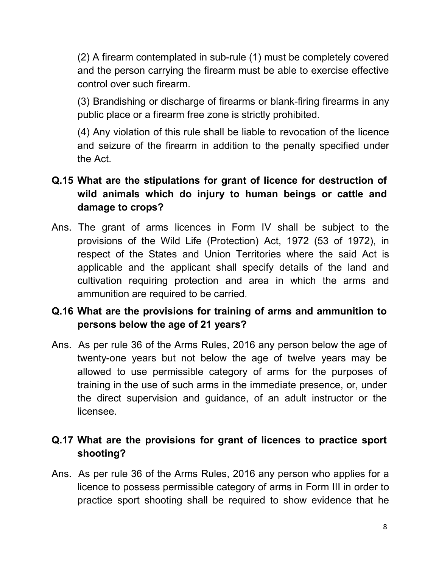(2) A firearm contemplated in sub-rule (1) must be completely covered and the person carrying the firearm must be able to exercise effective control over such firearm.

 (3) Brandishing or discharge of firearms or blank-firing firearms in any public place or a firearm free zone is strictly prohibited.

 (4) Any violation of this rule shall be liable to revocation of the licence and seizure of the firearm in addition to the penalty specified under the Act.

# Q.15 What are the stipulations for grant of licence for destruction of wild animals which do injury to human beings or cattle and damage to crops?

Ans. The grant of arms licences in Form IV shall be subject to the provisions of the Wild Life (Protection) Act, 1972 (53 of 1972), in respect of the States and Union Territories where the said Act is applicable and the applicant shall specify details of the land and cultivation requiring protection and area in which the arms and ammunition are required to be carried.

# Q.16 What are the provisions for training of arms and ammunition to persons below the age of 21 years?

Ans. As per rule 36 of the Arms Rules, 2016 any person below the age of twenty-one years but not below the age of twelve years may be allowed to use permissible category of arms for the purposes of training in the use of such arms in the immediate presence, or, under the direct supervision and guidance, of an adult instructor or the licensee.

# Q.17 What are the provisions for grant of licences to practice sport shooting?

Ans. As per rule 36 of the Arms Rules, 2016 any person who applies for a licence to possess permissible category of arms in Form III in order to practice sport shooting shall be required to show evidence that he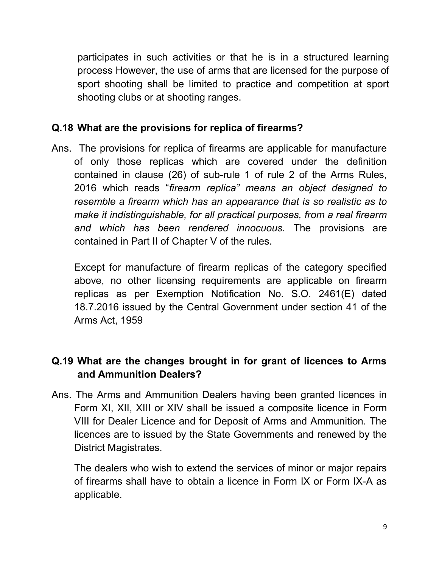participates in such activities or that he is in a structured learning process However, the use of arms that are licensed for the purpose of sport shooting shall be limited to practice and competition at sport shooting clubs or at shooting ranges.

### Q.18 What are the provisions for replica of firearms?

Ans. The provisions for replica of firearms are applicable for manufacture of only those replicas which are covered under the definition contained in clause (26) of sub-rule 1 of rule 2 of the Arms Rules, 2016 which reads "firearm replica" means an object designed to resemble a firearm which has an appearance that is so realistic as to make it indistinguishable, for all practical purposes, from a real firearm and which has been rendered innocuous. The provisions are contained in Part II of Chapter V of the rules.

Except for manufacture of firearm replicas of the category specified above, no other licensing requirements are applicable on firearm replicas as per Exemption Notification No. S.O. 2461(E) dated 18.7.2016 issued by the Central Government under section 41 of the Arms Act, 1959

# Q.19 What are the changes brought in for grant of licences to Arms and Ammunition Dealers?

Ans. The Arms and Ammunition Dealers having been granted licences in Form XI, XII, XIII or XIV shall be issued a composite licence in Form VIII for Dealer Licence and for Deposit of Arms and Ammunition. The licences are to issued by the State Governments and renewed by the District Magistrates.

 The dealers who wish to extend the services of minor or major repairs of firearms shall have to obtain a licence in Form IX or Form IX-A as applicable.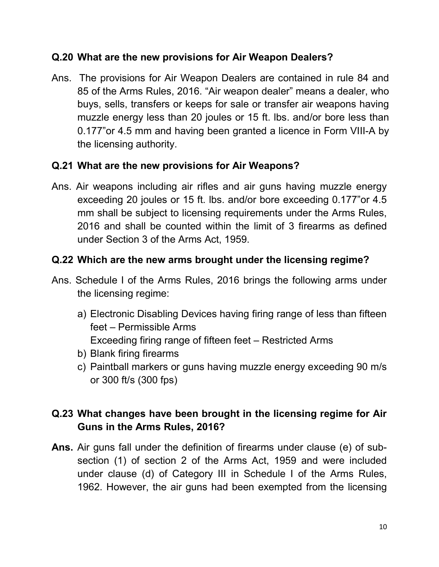### Q.20 What are the new provisions for Air Weapon Dealers?

Ans. The provisions for Air Weapon Dealers are contained in rule 84 and 85 of the Arms Rules, 2016. "Air weapon dealer" means a dealer, who buys, sells, transfers or keeps for sale or transfer air weapons having muzzle energy less than 20 joules or 15 ft. lbs. and/or bore less than 0.177"or 4.5 mm and having been granted a licence in Form VIII-A by the licensing authority.

## Q.21 What are the new provisions for Air Weapons?

Ans. Air weapons including air rifles and air guns having muzzle energy exceeding 20 joules or 15 ft. lbs. and/or bore exceeding 0.177"or 4.5 mm shall be subject to licensing requirements under the Arms Rules, 2016 and shall be counted within the limit of 3 firearms as defined under Section 3 of the Arms Act, 1959.

## Q.22 Which are the new arms brought under the licensing regime?

- Ans. Schedule I of the Arms Rules, 2016 brings the following arms under the licensing regime:
	- a) Electronic Disabling Devices having firing range of less than fifteen feet – Permissible Arms Exceeding firing range of fifteen feet – Restricted Arms
	- b) Blank firing firearms
	- c) Paintball markers or guns having muzzle energy exceeding 90 m/s or 300 ft/s (300 fps)

# Q.23 What changes have been brought in the licensing regime for Air Guns in the Arms Rules, 2016?

Ans. Air guns fall under the definition of firearms under clause (e) of subsection (1) of section 2 of the Arms Act, 1959 and were included under clause (d) of Category III in Schedule I of the Arms Rules, 1962. However, the air guns had been exempted from the licensing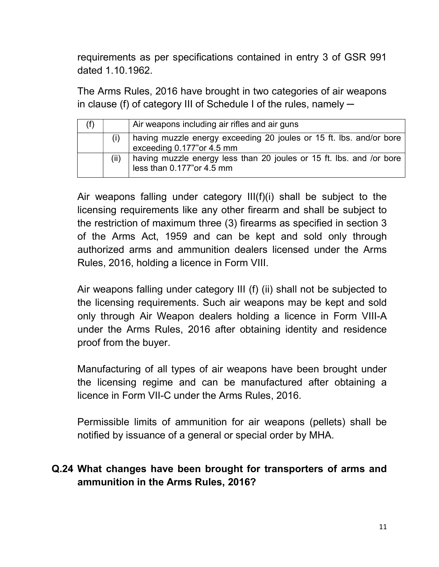requirements as per specifications contained in entry 3 of GSR 991 dated 1.10.1962.

 The Arms Rules, 2016 have brought in two categories of air weapons in clause (f) of category III of Schedule I of the rules, namely  $-$ 

|  | Air weapons including air rifles and air guns                                                      |
|--|----------------------------------------------------------------------------------------------------|
|  | having muzzle energy exceeding 20 joules or 15 ft. lbs. and/or bore<br>exceeding 0.177"or 4.5 mm   |
|  | having muzzle energy less than 20 joules or 15 ft. lbs. and /or bore<br>less than 0.177" or 4.5 mm |

Air weapons falling under category III(f)(i) shall be subject to the licensing requirements like any other firearm and shall be subject to the restriction of maximum three (3) firearms as specified in section 3 of the Arms Act, 1959 and can be kept and sold only through authorized arms and ammunition dealers licensed under the Arms Rules, 2016, holding a licence in Form VIII.

 Air weapons falling under category III (f) (ii) shall not be subjected to the licensing requirements. Such air weapons may be kept and sold only through Air Weapon dealers holding a licence in Form VIII-A under the Arms Rules, 2016 after obtaining identity and residence proof from the buyer.

 Manufacturing of all types of air weapons have been brought under the licensing regime and can be manufactured after obtaining a licence in Form VII-C under the Arms Rules, 2016.

 Permissible limits of ammunition for air weapons (pellets) shall be notified by issuance of a general or special order by MHA.

## Q.24 What changes have been brought for transporters of arms and ammunition in the Arms Rules, 2016?